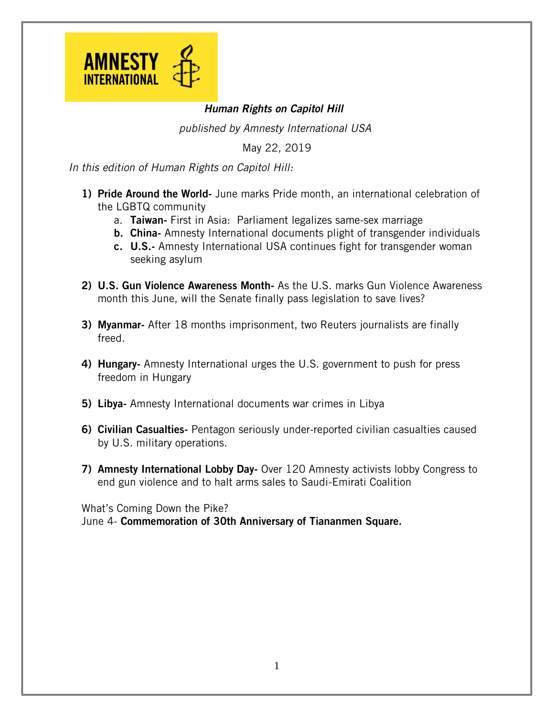

## *Human Rights on Capitol Hill*

*published by Amnesty International USA*

May 22, 2019

*In this edition of Human Rights on Capitol Hill:*

- 1) Pride Around the World- June marks Pride month, an international celebration of the LGBTQ community
	- a. Taiwan- First in Asia: Parliament legalizes same-sex marriage
	- b. China- Amnesty International documents plight of transgender individuals
	- c. U.S.- Amnesty International USA continues fight for transgender woman seeking asylum
- 2) U.S. Gun Violence Awareness Month- As the U.S. marks Gun Violence Awareness month this June, will the Senate finally pass legislation to save lives?
- 3) Myanmar- After 18 months imprisonment, two Reuters journalists are finally freed.
- 4) Hungary- Amnesty International urges the U.S. government to push for press freedom in Hungary
- 5) Libya- Amnesty International documents war crimes in Libya
- 6) Civilian Casualties- Pentagon seriously under-reported civilian casualties caused by U.S. military operations.
- 7) Amnesty International Lobby Day- Over 120 Amnesty activists lobby Congress to end gun violence and to halt arms sales to Saudi-Emirati Coalition

What's Coming Down the Pike?

June 4- Commemoration of 30th Anniversary of Tiananmen Square.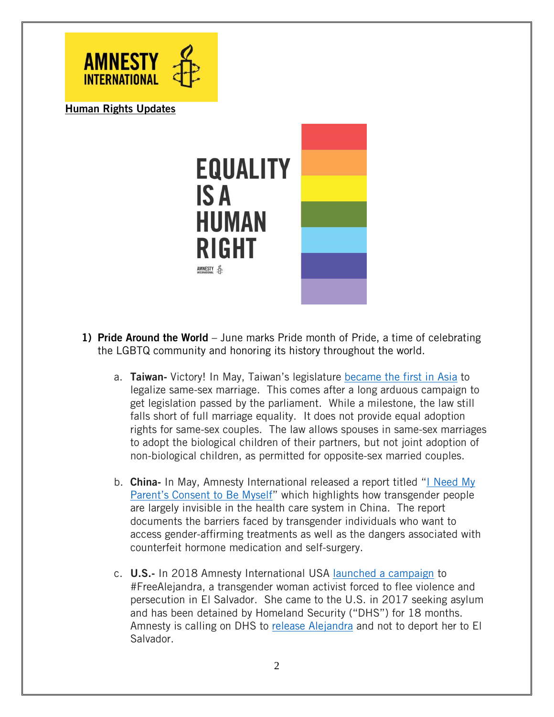

Human Rights Updates



- 1) Pride Around the World June marks Pride month of Pride, a time of celebrating the LGBTQ community and honoring its history throughout the world.
	- a. Taiwan- Victory! In May, Taiwan's legislature [became](https://www.amnesty.org/en/latest/news/2019/05/taiwan-same-sex-marriage-law/) the first in Asia to legalize same-sex marriage. This comes after a long arduous campaign to get legislation passed by the parliament. While a milestone, the law still falls short of full marriage equality. It does not provide equal adoption rights for same-sex couples. The law allows spouses in same-sex marriages to adopt the biological children of their partners, but not joint adoption of non-biological children, as permitted for opposite-sex married couples.
	- b. China- In May, Amnesty International released a report titled "I [Need](https://www.amnesty.org/download/Documents/ASA1702692019ENGLISH.pdf) My [Parent's](https://www.amnesty.org/download/Documents/ASA1702692019ENGLISH.pdf) Consent to Be Myself" which highlights how transgender people are largely invisible in the health care system in China. The report documents the barriers faced by transgender individuals who want to access gender-affirming treatments as well as the dangers associated with counterfeit hormone medication and self-surgery.
	- c. U.S.- In 2018 Amnesty International USA launched a [campaign](https://act.amnestyusa.org/page/25608/action/1) to #FreeAlejandra, a transgender woman activist forced to flee violence and persecution in El Salvador. She came to the U.S. in 2017 seeking asylum and has been detained by Homeland Security ("DHS") for 18 months. Amnesty is calling on DHS to release [Alejandra](http://chng.it/ft5YK9CLGM) and not to deport her to El Salvador.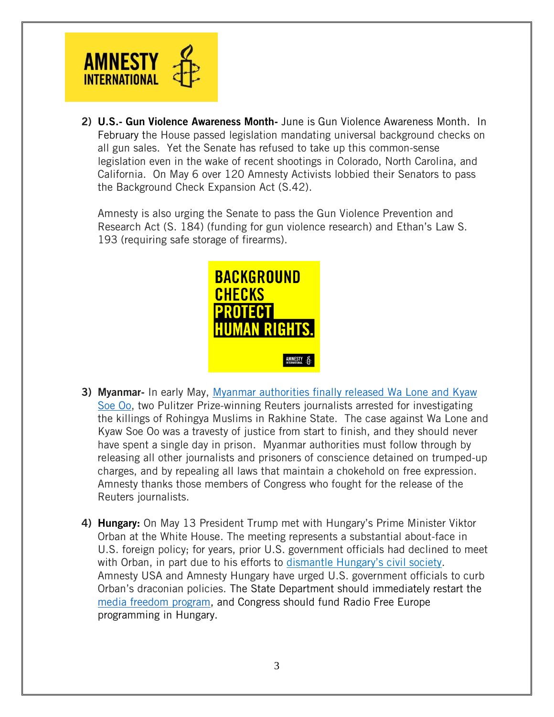

2) U.S.- Gun Violence Awareness Month- June is Gun Violence Awareness Month. In February the House passed legislation mandating universal background checks on all gun sales. Yet the Senate has refused to take up this common-sense legislation even in the wake of recent shootings in Colorado, North Carolina, and California. On May 6 over 120 Amnesty Activists lobbied their Senators to pass the Background Check Expansion Act (S.42).

Amnesty is also urging the Senate to pass the Gun Violence Prevention and Research Act (S. 184) (funding for gun violence research) and Ethan's Law S. 193 (requiring safe storage of firearms).



- 3) Myanmar- In early May, Myanmar [authorities](https://www.amnesty.org/en/latest/news/2019/05/myanmar-genuine-press-freedom-must-follow-release-reuters-journalists/) finally released Wa Lone and Kyaw [Soe](https://www.amnesty.org/en/latest/news/2019/05/myanmar-genuine-press-freedom-must-follow-release-reuters-journalists/) Oo, two Pulitzer Prize-winning Reuters journalists arrested for investigating the killings of Rohingya Muslims in Rakhine State. The case against Wa Lone and Kyaw Soe Oo was a travesty of justice from start to finish, and they should never have spent a single day in prison. Myanmar authorities must follow through by releasing all other journalists and prisoners of conscience detained on trumped-up charges, and by repealing all laws that maintain a chokehold on free expression. Amnesty thanks those members of Congress who fought for the release of the Reuters journalists.
- 4) **Hungary:** On May 13 President Trump met with Hungary's Prime Minister Viktor Orban at the White House. The meeting represents a substantial about-face in U.S. foreign policy; for years, prior U.S. government officials had declined to meet with Orban, in part due to his efforts to dismantle [Hungary's](https://www.amnesty.org/en/latest/campaigns/2018/06/love-and-support-for-civil-society-in-hungary/) civil society. Amnesty USA and Amnesty Hungary have urged U.S. government officials to curb Orban's draconian policies. The State Department should immediately restart the [media freedom program,](https://www.reuters.com/article/us-hungary-orban-media-insight/gloom-in-the-newsroom-as-hungarys-independent-media-recedes-idUSKCN1M40SP) and Congress should fund Radio Free Europe programming in Hungary.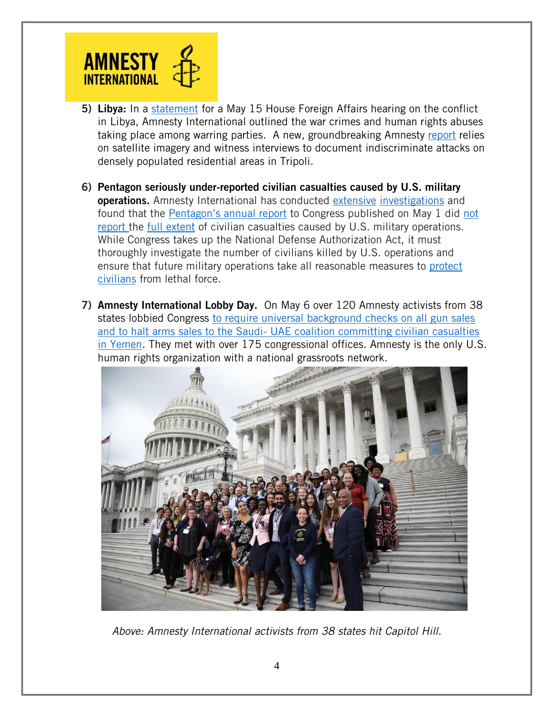

- 5) Libya: In a [statement](https://www.amnestyusa.org/our-work/government-relations/advocacy/statement-for-the-record-on-the-may-15-hearing-the-conflict-in-libya/) for a May 15 House Foreign Affairs hearing on the conflict in Libya, Amnesty International outlined the war crimes and human rights abuses taking place among warring parties. A new, groundbreaking Amnesty [report](https://www.amnesty.org/en/latest/news/2019/05/libya-evidence-of-possible-war-crimes-underscores-need-for-international-investigation/) relies on satellite imagery and witness interviews to document indiscriminate attacks on densely populated residential areas in Tripoli.
- 6) Pentagon seriously under-reported civilian casualties caused by U.S. military operations. Amnesty International has conducted [extensive](https://raqqa.amnesty.org/) [investigations](https://www.amnesty.org/en/documents/afr52/9952/2019/en/) and found that the [Pentagon's annual report](https://www.justsecurity.org/63896/new-pentagon-report-significantly-undercounts-civilian-casualties/) to Congress published on May 1 did [not](https://www.nytimes.com/2019/05/02/us/politics/us-civilians-killed-2018-.html)  [report](https://www.nytimes.com/2019/05/02/us/politics/us-civilians-killed-2018-.html) the [full extent](https://www.washingtonpost.com/world/national-security/pentagon-report-us-strikes-killed-120-civilians-in-2018/2019/05/02/8f2d70fa-6c3f-11e9-be3a-33217240a539_story.html?utm_term=.fb4499a0bfec) of civilian casualties caused by U.S. military operations. While Congress takes up the National Defense Authorization Act, it must thoroughly investigate the number of civilians killed by U.S. operations and ensure that future military operations take all reasonable measures to [protect](https://www.washingtonpost.com/politics/2019/05/06/no-americans-dont-support-airstrikes-that-kill-civilians-even-when-they-target-terrorists/?utm_term=.a17b3ba2dc14)  [civilians](https://www.washingtonpost.com/politics/2019/05/06/no-americans-dont-support-airstrikes-that-kill-civilians-even-when-they-target-terrorists/?utm_term=.a17b3ba2dc14) from lethal force.
- 7) Amnesty International Lobby Day. On May 6 over 120 Amnesty activists from 38 states lobbied Congress to require [universal background checks on all gun sales](https://thehill.com/blogs/congress-blog/politics/441957-senate-must-act-on-background-check-measure-which-could-close)  and to halt arms sales to the Saudi- [UAE coalition committing civilian casualties](https://thehill.com/blogs/congress-blog/politics/441957-senate-must-act-on-background-check-measure-which-could-close)  [in Yemen.](https://thehill.com/blogs/congress-blog/politics/441957-senate-must-act-on-background-check-measure-which-could-close) They met with over 175 congressional offices. Amnesty is the only U.S. human rights organization with a national grassroots network.



*Above: Amnesty International activists from 38 states hit Capitol Hill.*